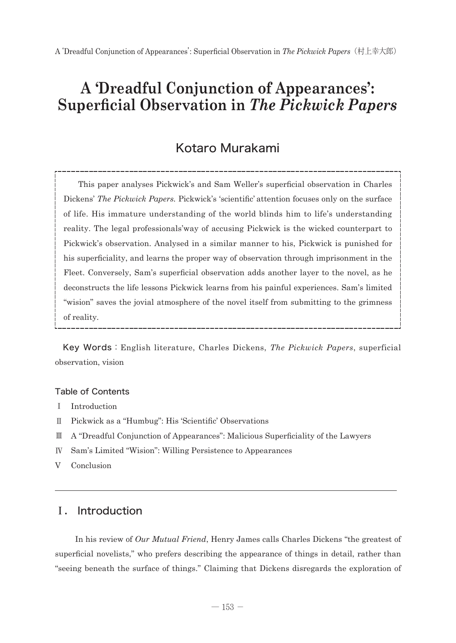# Kotaro Murakami

 This paper analyses Pickwick's and Sam Weller's superficial observation in Charles Dickens' *The Pickwick Papers.* Pickwick's 'scientific' attention focuses only on the surface of life. His immature understanding of the world blinds him to life's understanding reality. The legal professionals'way of accusing Pickwick is the wicked counterpart to Pickwick's observation. Analysed in a similar manner to his, Pickwick is punished for his superficiality, and learns the proper way of observation through imprisonment in the Fleet. Conversely, Sam's superficial observation adds another layer to the novel, as he deconstructs the life lessons Pickwick learns from his painful experiences. Sam's limited "wision" saves the jovial atmosphere of the novel itself from submitting to the grimness of reality.

Key Words:English literature, Charles Dickens, *The Pickwick Papers*, superficial observation, vision

#### Table of Contents

- Ⅰ Introduction
- Ⅱ Pickwick as a "Humbug": His 'Scientific' Observations
- Ⅲ A "Dreadful Conjunction of Appearances": Malicious Superficiality of the Lawyers
- Ⅳ Sam's Limited "Wision": Willing Persistence to Appearances
- V Conclusion

## Ⅰ. Introduction

 In his review of *Our Mutual Friend*, Henry James calls Charles Dickens "the greatest of superficial novelists," who prefers describing the appearance of things in detail, rather than "seeing beneath the surface of things." Claiming that Dickens disregards the exploration of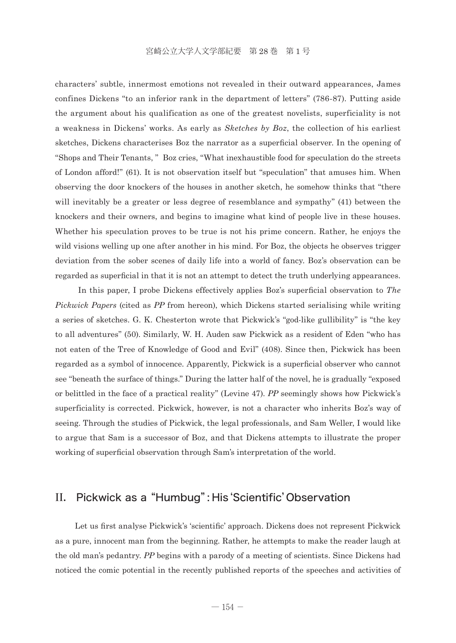characters' subtle, innermost emotions not revealed in their outward appearances, James confines Dickens "to an inferior rank in the department of letters" (786-87). Putting aside the argument about his qualification as one of the greatest novelists, superficiality is not a weakness in Dickens' works. As early as *Sketches by Boz*, the collection of his earliest sketches, Dickens characterises Boz the narrator as a superficial observer. In the opening of "Shops and Their Tenants, " Boz cries, "What inexhaustible food for speculation do the streets of London afford!" (61). It is not observation itself but "speculation" that amuses him. When observing the door knockers of the houses in another sketch, he somehow thinks that "there will inevitably be a greater or less degree of resemblance and sympathy" (41) between the knockers and their owners, and begins to imagine what kind of people live in these houses. Whether his speculation proves to be true is not his prime concern. Rather, he enjoys the wild visions welling up one after another in his mind. For Boz, the objects he observes trigger deviation from the sober scenes of daily life into a world of fancy. Boz's observation can be regarded as superficial in that it is not an attempt to detect the truth underlying appearances.

 In this paper, I probe Dickens effectively applies Boz's superficial observation to *The Pickwick Papers* (cited as *PP* from hereon), which Dickens started serialising while writing a series of sketches. G. K. Chesterton wrote that Pickwick's "god-like gullibility" is "the key to all adventures" (50). Similarly, W. H. Auden saw Pickwick as a resident of Eden "who has not eaten of the Tree of Knowledge of Good and Evil" (408). Since then, Pickwick has been regarded as a symbol of innocence. Apparently, Pickwick is a superficial observer who cannot see "beneath the surface of things." During the latter half of the novel, he is gradually "exposed or belittled in the face of a practical reality" (Levine 47). *PP* seemingly shows how Pickwick's superficiality is corrected. Pickwick, however, is not a character who inherits Boz's way of seeing. Through the studies of Pickwick, the legal professionals, and Sam Weller, I would like to argue that Sam is a successor of Boz, and that Dickens attempts to illustrate the proper working of superficial observation through Sam's interpretation of the world.

## II. Pickwick as a "Humbug": His 'Scientific' Observation

 Let us first analyse Pickwick's 'scientific' approach. Dickens does not represent Pickwick as a pure, innocent man from the beginning. Rather, he attempts to make the reader laugh at the old man's pedantry. *PP* begins with a parody of a meeting of scientists. Since Dickens had noticed the comic potential in the recently published reports of the speeches and activities of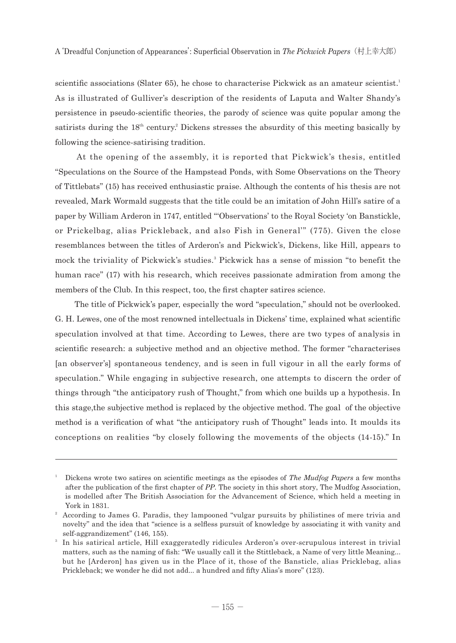scientific associations (Slater 65), he chose to characterise Pickwick as an amateur scientist.<sup>1</sup> As is illustrated of Gulliver's description of the residents of Laputa and Walter Shandy's persistence in pseudo-scientific theories, the parody of science was quite popular among the satirists during the  $18<sup>th</sup>$  century.<sup>2</sup> Dickens stresses the absurdity of this meeting basically by following the science-satirising tradition.

 At the opening of the assembly, it is reported that Pickwick's thesis, entitled "Speculations on the Source of the Hampstead Ponds, with Some Observations on the Theory of Tittlebats" (15) has received enthusiastic praise. Although the contents of his thesis are not revealed, Mark Wormald suggests that the title could be an imitation of John Hill's satire of a paper by William Arderon in 1747, entitled "'Observations' to the Royal Society 'on Banstickle, or Prickelbag, alias Prickleback, and also Fish in General'" (775). Given the close resemblances between the titles of Arderon's and Pickwick's, Dickens, like Hill, appears to mock the triviality of Pickwick's studies.<sup>3</sup> Pickwick has a sense of mission "to benefit the human race" (17) with his research, which receives passionate admiration from among the members of the Club. In this respect, too, the first chapter satires science.

 The title of Pickwick's paper, especially the word "speculation," should not be overlooked. G. H. Lewes, one of the most renowned intellectuals in Dickens' time, explained what scientific speculation involved at that time. According to Lewes, there are two types of analysis in scientific research: a subjective method and an objective method. The former "characterises [an observer's] spontaneous tendency, and is seen in full vigour in all the early forms of speculation." While engaging in subjective research, one attempts to discern the order of things through "the anticipatory rush of Thought," from which one builds up a hypothesis. In this stage,the subjective method is replaced by the objective method. The goal of the objective method is a verification of what "the anticipatory rush of Thought" leads into. It moulds its conceptions on realities "by closely following the movements of the objects (14-15)." In

Dickens wrote two satires on scientific meetings as the episodes of *The Mudfog Papers* a few months after the publication of the first chapter of *PP*. The society in this short story, The Mudfog Association, is modelled after The British Association for the Advancement of Science, which held a meeting in York in 1831.

<sup>&</sup>lt;sup>2</sup> According to James G. Paradis, they lampooned "vulgar pursuits by philistines of mere trivia and novelty" and the idea that "science is a selfless pursuit of knowledge by associating it with vanity and self-aggrandizement" (146, 155).

<sup>&</sup>lt;sup>3</sup> In his satirical article, Hill exaggeratedly ridicules Arderon's over-scrupulous interest in trivial matters, such as the naming of fish: "We usually call it the Stittleback, a Name of very little Meaning... but he [Arderon] has given us in the Place of it, those of the Bansticle, alias Pricklebag, alias Prickleback; we wonder he did not add... a hundred and fifty Alias's more" (123).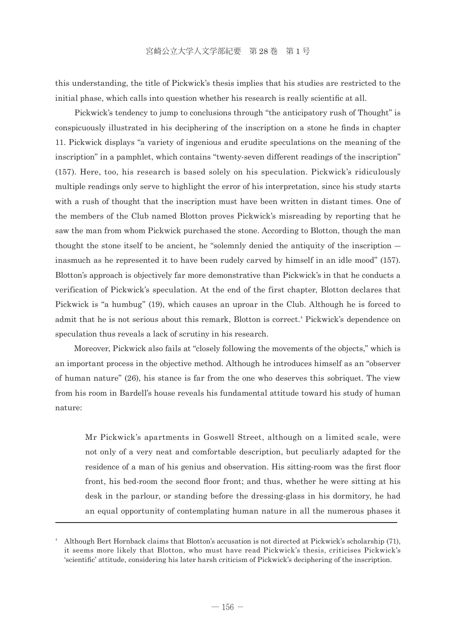this understanding, the title of Pickwick's thesis implies that his studies are restricted to the initial phase, which calls into question whether his research is really scientific at all.

 Pickwick's tendency to jump to conclusions through "the anticipatory rush of Thought" is conspicuously illustrated in his deciphering of the inscription on a stone he finds in chapter 11. Pickwick displays "a variety of ingenious and erudite speculations on the meaning of the inscription" in a pamphlet, which contains "twenty-seven different readings of the inscription" (157). Here, too, his research is based solely on his speculation. Pickwick's ridiculously multiple readings only serve to highlight the error of his interpretation, since his study starts with a rush of thought that the inscription must have been written in distant times. One of the members of the Club named Blotton proves Pickwick's misreading by reporting that he saw the man from whom Pickwick purchased the stone. According to Blotton, though the man thought the stone itself to be ancient, he "solemnly denied the antiquity of the inscription ― inasmuch as he represented it to have been rudely carved by himself in an idle mood" (157). Blotton's approach is objectively far more demonstrative than Pickwick's in that he conducts a verification of Pickwick's speculation. At the end of the first chapter, Blotton declares that Pickwick is "a humbug" (19), which causes an uproar in the Club. Although he is forced to admit that he is not serious about this remark, Blotton is correct.<sup>4</sup> Pickwick's dependence on speculation thus reveals a lack of scrutiny in his research.

 Moreover, Pickwick also fails at "closely following the movements of the objects," which is an important process in the objective method. Although he introduces himself as an "observer of human nature" (26), his stance is far from the one who deserves this sobriquet. The view from his room in Bardell's house reveals his fundamental attitude toward his study of human nature:

 Mr Pickwick's apartments in Goswell Street, although on a limited scale, were not only of a very neat and comfortable description, but peculiarly adapted for the residence of a man of his genius and observation. His sitting-room was the first floor front, his bed-room the second floor front; and thus, whether he were sitting at his desk in the parlour, or standing before the dressing-glass in his dormitory, he had an equal opportunity of contemplating human nature in all the numerous phases it

<sup>4</sup> □Although Bert Hornback claims that Blotton's accusation is not directed at Pickwick's scholarship (71), it seems more likely that Blotton, who must have read Pickwick's thesis, criticises Pickwick's 'scientific' attitude, considering his later harsh criticism of Pickwick's deciphering of the inscription.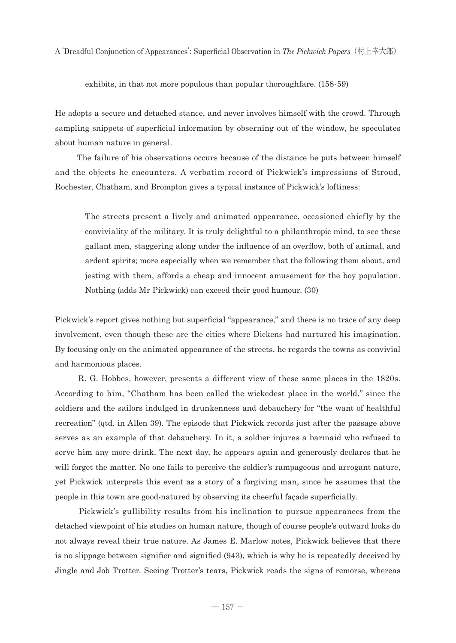exhibits, in that not more populous than popular thoroughfare. (158-59)

He adopts a secure and detached stance, and never involves himself with the crowd. Through sampling snippets of superficial information by obserning out of the window, he speculates about human nature in general.

The failure of his observations occurs because of the distance he puts between himself and the objects he encounters. A verbatim record of Pickwick's impressions of Stroud, Rochester, Chatham, and Brompton gives a typical instance of Pickwick's loftiness:

 The streets present a lively and animated appearance, occasioned chiefly by the conviviality of the military. It is truly delightful to a philanthropic mind, to see these gallant men, staggering along under the influence of an overflow, both of animal, and ardent spirits; more especially when we remember that the following them about, and jesting with them, affords a cheap and innocent amusement for the boy population. Nothing (adds Mr Pickwick) can exceed their good humour. (30)

Pickwick's report gives nothing but superficial "appearance," and there is no trace of any deep involvement, even though these are the cities where Dickens had nurtured his imagination. By focusing only on the animated appearance of the streets, he regards the towns as convivial and harmonious places.

 R. G. Hobbes, however, presents a different view of these same places in the 1820s. According to him, "Chatham has been called the wickedest place in the world," since the soldiers and the sailors indulged in drunkenness and debauchery for "the want of healthful recreation" (qtd. in Allen 39). The episode that Pickwick records just after the passage above serves as an example of that debauchery. In it, a soldier injures a barmaid who refused to serve him any more drink. The next day, he appears again and generously declares that he will forget the matter. No one fails to perceive the soldier's rampageous and arrogant nature, yet Pickwick interprets this event as a story of a forgiving man, since he assumes that the people in this town are good-natured by observing its cheerful façade superficially.

 Pickwick's gullibility results from his inclination to pursue appearances from the detached viewpoint of his studies on human nature, though of course people's outward looks do not always reveal their true nature. As James E. Marlow notes, Pickwick believes that there is no slippage between signifier and signified (943), which is why he is repeatedly deceived by Jingle and Job Trotter. Seeing Trotter's tears, Pickwick reads the signs of remorse, whereas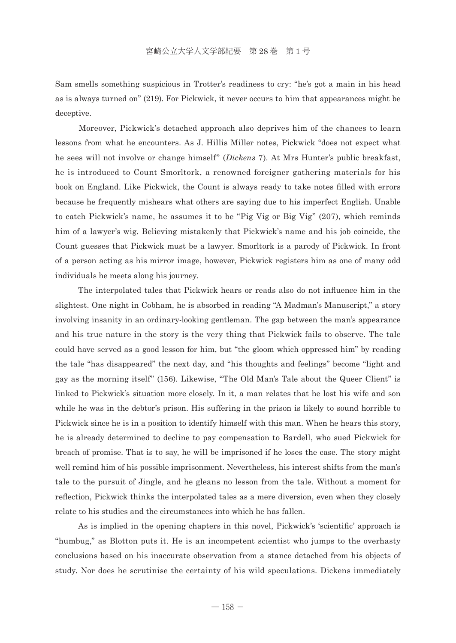Sam smells something suspicious in Trotter's readiness to cry: "he's got a main in his head as is always turned on" (219). For Pickwick, it never occurs to him that appearances might be deceptive.

 Moreover, Pickwick's detached approach also deprives him of the chances to learn lessons from what he encounters. As J. Hillis Miller notes, Pickwick "does not expect what he sees will not involve or change himself" (*Dickens* 7). At Mrs Hunter's public breakfast, he is introduced to Count Smorltork, a renowned foreigner gathering materials for his book on England. Like Pickwick, the Count is always ready to take notes filled with errors because he frequently mishears what others are saying due to his imperfect English. Unable to catch Pickwick's name, he assumes it to be "Pig Vig or Big Vig" (207), which reminds him of a lawyer's wig. Believing mistakenly that Pickwick's name and his job coincide, the Count guesses that Pickwick must be a lawyer. Smorltork is a parody of Pickwick. In front of a person acting as his mirror image, however, Pickwick registers him as one of many odd individuals he meets along his journey.

 The interpolated tales that Pickwick hears or reads also do not influence him in the slightest. One night in Cobham, he is absorbed in reading "A Madman's Manuscript," a story involving insanity in an ordinary-looking gentleman. The gap between the man's appearance and his true nature in the story is the very thing that Pickwick fails to observe. The tale could have served as a good lesson for him, but "the gloom which oppressed him" by reading the tale "has disappeared" the next day, and "his thoughts and feelings" become "light and gay as the morning itself" (156). Likewise, "The Old Man's Tale about the Queer Client" is linked to Pickwick's situation more closely. In it, a man relates that he lost his wife and son while he was in the debtor's prison. His suffering in the prison is likely to sound horrible to Pickwick since he is in a position to identify himself with this man. When he hears this story, he is already determined to decline to pay compensation to Bardell, who sued Pickwick for breach of promise. That is to say, he will be imprisoned if he loses the case. The story might well remind him of his possible imprisonment. Nevertheless, his interest shifts from the man's tale to the pursuit of Jingle, and he gleans no lesson from the tale. Without a moment for reflection, Pickwick thinks the interpolated tales as a mere diversion, even when they closely relate to his studies and the circumstances into which he has fallen.

 As is implied in the opening chapters in this novel, Pickwick's 'scientific' approach is "humbug," as Blotton puts it. He is an incompetent scientist who jumps to the overhasty conclusions based on his inaccurate observation from a stance detached from his objects of study. Nor does he scrutinise the certainty of his wild speculations. Dickens immediately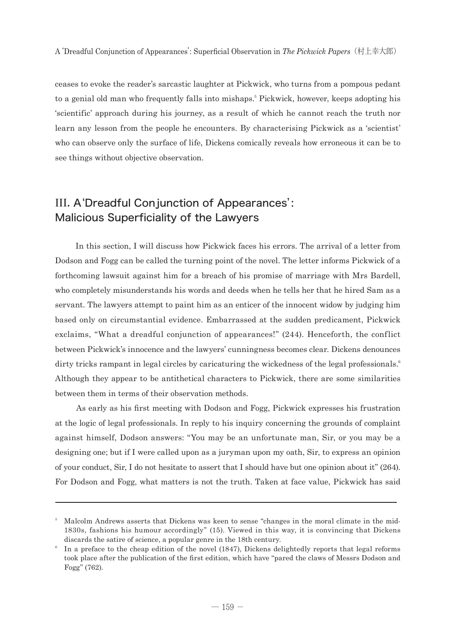ceases to evoke the reader's sarcastic laughter at Pickwick, who turns from a pompous pedant to a genial old man who frequently falls into mishaps.5 Pickwick, however, keeps adopting his 'scientific' approach during his journey, as a result of which he cannot reach the truth nor learn any lesson from the people he encounters. By characterising Pickwick as a 'scientist' who can observe only the surface of life, Dickens comically reveals how erroneous it can be to see things without objective observation.

# III. A'Dreadful Conjunction of Appearances': Malicious Superficiality of the Lawyers

 In this section, I will discuss how Pickwick faces his errors. The arrival of a letter from Dodson and Fogg can be called the turning point of the novel. The letter informs Pickwick of a forthcoming lawsuit against him for a breach of his promise of marriage with Mrs Bardell, who completely misunderstands his words and deeds when he tells her that he hired Sam as a servant. The lawyers attempt to paint him as an enticer of the innocent widow by judging him based only on circumstantial evidence. Embarrassed at the sudden predicament, Pickwick exclaims, "What a dreadful conjunction of appearances!" (244). Henceforth, the conflict between Pickwick's innocence and the lawyers' cunningness becomes clear. Dickens denounces dirty tricks rampant in legal circles by caricaturing the wickedness of the legal professionals.<sup>6</sup> Although they appear to be antithetical characters to Pickwick, there are some similarities between them in terms of their observation methods.

 As early as his first meeting with Dodson and Fogg, Pickwick expresses his frustration at the logic of legal professionals. In reply to his inquiry concerning the grounds of complaint against himself, Dodson answers: "You may be an unfortunate man, Sir, or you may be a designing one; but if I were called upon as a juryman upon my oath, Sir, to express an opinion of your conduct, Sir, I do not hesitate to assert that I should have but one opinion about it" (264). For Dodson and Fogg, what matters is not the truth. Taken at face value, Pickwick has said

<sup>&</sup>lt;sup>5</sup> Malcolm Andrews asserts that Dickens was keen to sense "changes in the moral climate in the mid-1830s, fashions his humour accordingly" (15). Viewed in this way, it is convincing that Dickens discards the satire of science, a popular genre in the 18th century.

<sup>6</sup> In a preface to the cheap edition of the novel  $(1847)$ , Dickens delightedly reports that legal reforms took place after the publication of the first edition, which have "pared the claws of Messrs Dodson and Fogg" (762).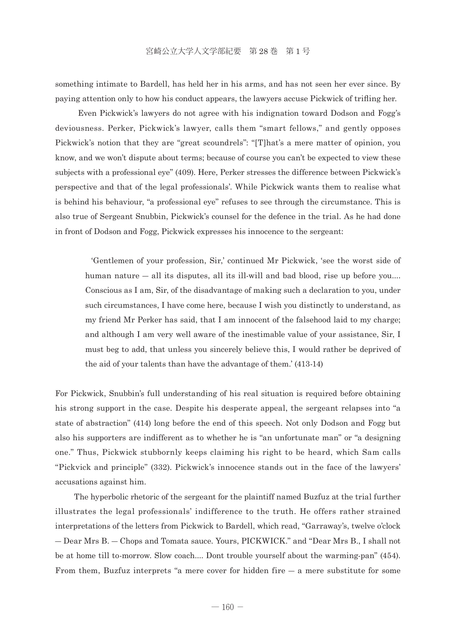something intimate to Bardell, has held her in his arms, and has not seen her ever since. By paying attention only to how his conduct appears, the lawyers accuse Pickwick of trifling her.

 Even Pickwick's lawyers do not agree with his indignation toward Dodson and Fogg's deviousness. Perker, Pickwick's lawyer, calls them "smart fellows," and gently opposes Pickwick's notion that they are "great scoundrels": "[T]hat's a mere matter of opinion, you know, and we won't dispute about terms; because of course you can't be expected to view these subjects with a professional eye" (409). Here, Perker stresses the difference between Pickwick's perspective and that of the legal professionals'. While Pickwick wants them to realise what is behind his behaviour, "a professional eye" refuses to see through the circumstance. This is also true of Sergeant Snubbin, Pickwick's counsel for the defence in the trial. As he had done in front of Dodson and Fogg, Pickwick expresses his innocence to the sergeant:

 'Gentlemen of your profession, Sir,' continued Mr Pickwick, 'see the worst side of human nature  $-$  all its disputes, all its ill-will and bad blood, rise up before you.... Conscious as I am, Sir, of the disadvantage of making such a declaration to you, under such circumstances, I have come here, because I wish you distinctly to understand, as my friend Mr Perker has said, that I am innocent of the falsehood laid to my charge; and although I am very well aware of the inestimable value of your assistance, Sir, I must beg to add, that unless you sincerely believe this, I would rather be deprived of the aid of your talents than have the advantage of them.' (413-14)

For Pickwick, Snubbin's full understanding of his real situation is required before obtaining his strong support in the case. Despite his desperate appeal, the sergeant relapses into "a state of abstraction" (414) long before the end of this speech. Not only Dodson and Fogg but also his supporters are indifferent as to whether he is "an unfortunate man" or "a designing one." Thus, Pickwick stubbornly keeps claiming his right to be heard, which Sam calls "Pickvick and principle" (332). Pickwick's innocence stands out in the face of the lawyers' accusations against him.

 The hyperbolic rhetoric of the sergeant for the plaintiff named Buzfuz at the trial further illustrates the legal professionals' indifference to the truth. He offers rather strained interpretations of the letters from Pickwick to Bardell, which read, "Garraway's, twelve o'clock ― Dear Mrs B. ― Chops and Tomata sauce. Yours, PICKWICK." and "Dear Mrs B., I shall not be at home till to-morrow. Slow coach.... Dont trouble yourself about the warming-pan" (454). From them, Buzfuz interprets "a mere cover for hidden fire  $-$  a mere substitute for some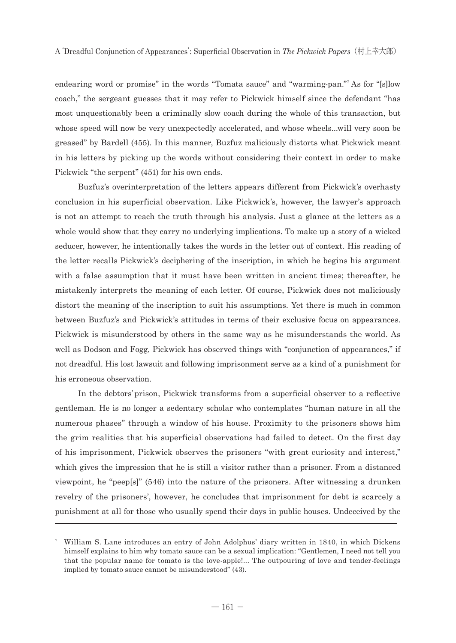endearing word or promise" in the words "Tomata sauce" and "warming-pan."<sup>7</sup> As for "[s]low coach," the sergeant guesses that it may refer to Pickwick himself since the defendant "has most unquestionably been a criminally slow coach during the whole of this transaction, but whose speed will now be very unexpectedly accelerated, and whose wheels...will very soon be greased" by Bardell (455). In this manner, Buzfuz maliciously distorts what Pickwick meant in his letters by picking up the words without considering their context in order to make Pickwick "the serpent" (451) for his own ends.

 Buzfuz's overinterpretation of the letters appears different from Pickwick's overhasty conclusion in his superficial observation. Like Pickwick's, however, the lawyer's approach is not an attempt to reach the truth through his analysis. Just a glance at the letters as a whole would show that they carry no underlying implications. To make up a story of a wicked seducer, however, he intentionally takes the words in the letter out of context. His reading of the letter recalls Pickwick's deciphering of the inscription, in which he begins his argument with a false assumption that it must have been written in ancient times; thereafter, he mistakenly interprets the meaning of each letter. Of course, Pickwick does not maliciously distort the meaning of the inscription to suit his assumptions. Yet there is much in common between Buzfuz's and Pickwick's attitudes in terms of their exclusive focus on appearances. Pickwick is misunderstood by others in the same way as he misunderstands the world. As well as Dodson and Fogg, Pickwick has observed things with "conjunction of appearances," if not dreadful. His lost lawsuit and following imprisonment serve as a kind of a punishment for his erroneous observation.

 In the debtors' prison, Pickwick transforms from a superficial observer to a reflective gentleman. He is no longer a sedentary scholar who contemplates "human nature in all the numerous phases" through a window of his house. Proximity to the prisoners shows him the grim realities that his superficial observations had failed to detect. On the first day of his imprisonment, Pickwick observes the prisoners "with great curiosity and interest," which gives the impression that he is still a visitor rather than a prisoner. From a distanced viewpoint, he "peep[s]" (546) into the nature of the prisoners. After witnessing a drunken revelry of the prisoners', however, he concludes that imprisonment for debt is scarcely a punishment at all for those who usually spend their days in public houses. Undeceived by the

William S. Lane introduces an entry of John Adolphus' diary written in 1840, in which Dickens himself explains to him why tomato sauce can be a sexual implication: "Gentlemen, I need not tell you that the popular name for tomato is the love-apple!... The outpouring of love and tender-feelings implied by tomato sauce cannot be misunderstood" (43).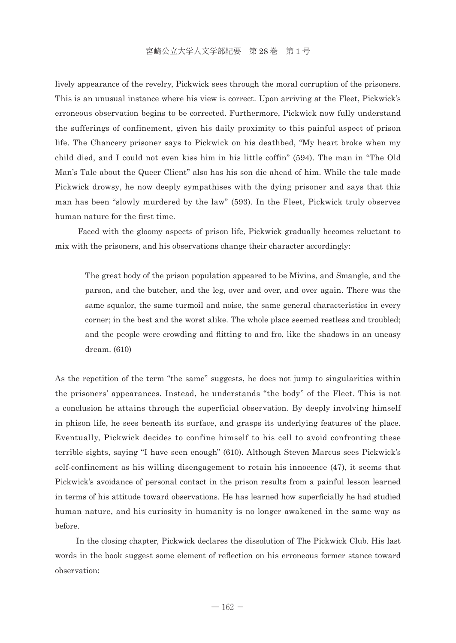lively appearance of the revelry, Pickwick sees through the moral corruption of the prisoners. This is an unusual instance where his view is correct. Upon arriving at the Fleet, Pickwick's erroneous observation begins to be corrected. Furthermore, Pickwick now fully understand the sufferings of confinement, given his daily proximity to this painful aspect of prison life. The Chancery prisoner says to Pickwick on his deathbed, "My heart broke when my child died, and I could not even kiss him in his little coffin" (594). The man in "The Old Man's Tale about the Queer Client" also has his son die ahead of him. While the tale made Pickwick drowsy, he now deeply sympathises with the dying prisoner and says that this man has been "slowly murdered by the law" (593). In the Fleet, Pickwick truly observes human nature for the first time.

 Faced with the gloomy aspects of prison life, Pickwick gradually becomes reluctant to mix with the prisoners, and his observations change their character accordingly:

 The great body of the prison population appeared to be Mivins, and Smangle, and the parson, and the butcher, and the leg, over and over, and over again. There was the same squalor, the same turmoil and noise, the same general characteristics in every corner; in the best and the worst alike. The whole place seemed restless and troubled; and the people were crowding and flitting to and fro, like the shadows in an uneasy dream. (610)

As the repetition of the term "the same" suggests, he does not jump to singularities within the prisoners' appearances. Instead, he understands "the body" of the Fleet. This is not a conclusion he attains through the superficial observation. By deeply involving himself in phison life, he sees beneath its surface, and grasps its underlying features of the place. Eventually, Pickwick decides to confine himself to his cell to avoid confronting these terrible sights, saying "I have seen enough" (610). Although Steven Marcus sees Pickwick's self-confinement as his willing disengagement to retain his innocence (47), it seems that Pickwick's avoidance of personal contact in the prison results from a painful lesson learned in terms of his attitude toward observations. He has learned how superficially he had studied human nature, and his curiosity in humanity is no longer awakened in the same way as before.

 In the closing chapter, Pickwick declares the dissolution of The Pickwick Club. His last words in the book suggest some element of reflection on his erroneous former stance toward observation: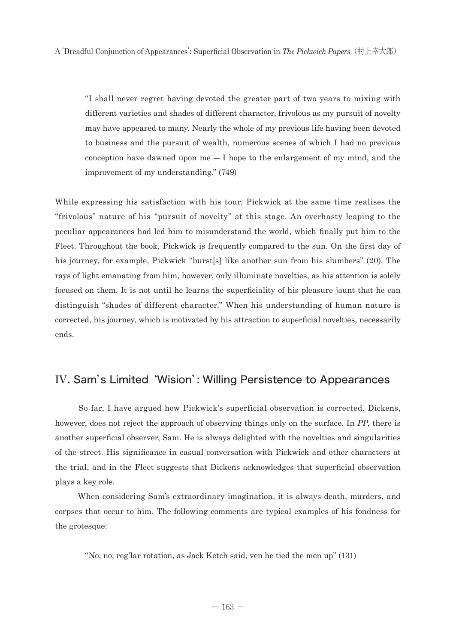"I shall never regret having devoted the greater part of two years to mixing with different varieties and shades of different character, frivolous as my pursuit of novelty may have appeared to many. Nearly the whole of my previous life having been devoted to business and the pursuit of wealth, numerous scenes of which I had no previous conception have dawned upon  $me - I$  hope to the enlargement of my mind, and the improvement of my understanding." (749)

While expressing his satisfaction with his tour, Pickwick at the same time realises the "frivolous" nature of his "pursuit of novelty" at this stage. An overhasty leaping to the peculiar appearances had led him to misunderstand the world, which finally put him to the Fleet. Throughout the book, Pickwick is frequently compared to the sun. On the first day of his journey, for example, Pickwick "burst[s] like another sun from his slumbers" (20). The rays of light emanating from him, however, only illuminate novelties, as his attention is solely focused on them. It is not until he learns the superficiality of his pleasure jaunt that he can distinguish "shades of different character." When his understanding of human nature is corrected, his journey, which is motivated by his attraction to superficial novelties, necessarily ends.

### IV. Sam's Limited 'Wision': Willing Persistence to Appearances

 So far, I have argued how Pickwick's superficial observation is corrected. Dickens, however, does not reject the approach of observing things only on the surface. In *PP*, there is another superficial observer, Sam. He is always delighted with the novelties and singularities of the street. His significance in casual conversation with Pickwick and other characters at the trial, and in the Fleet suggests that Dickens acknowledges that superficial observation plays a key role.

 When considering Sam's extraordinary imagination, it is always death, murders, and corpses that occur to him. The following comments are typical examples of his fondness for the grotesque:

"No, no; reg'lar rotation, as Jack Ketch said, ven he tied the men up" (131)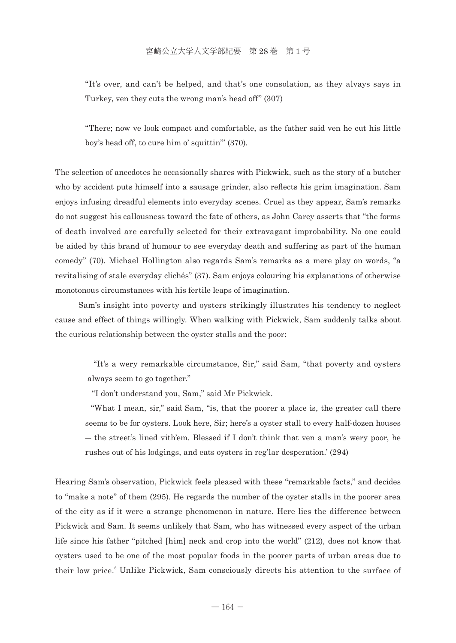"It's over, and can't be helped, and that's one consolation, as they alvays says in Turkey, ven they cuts the wrong man's head off" (307)

 "There; now ve look compact and comfortable, as the father said ven he cut his little boy's head off, to cure him o' squittin'" (370).

The selection of anecdotes he occasionally shares with Pickwick, such as the story of a butcher who by accident puts himself into a sausage grinder, also reflects his grim imagination. Sam enjoys infusing dreadful elements into everyday scenes. Cruel as they appear, Sam's remarks do not suggest his callousness toward the fate of others, as John Carey asserts that "the forms of death involved are carefully selected for their extravagant improbability. No one could be aided by this brand of humour to see everyday death and suffering as part of the human comedy" (70). Michael Hollington also regards Sam's remarks as a mere play on words, "a revitalising of stale everyday clichés" (37). Sam enjoys colouring his explanations of otherwise monotonous circumstances with his fertile leaps of imagination.

 Sam's insight into poverty and oysters strikingly illustrates his tendency to neglect cause and effect of things willingly. When walking with Pickwick, Sam suddenly talks about the curious relationship between the oyster stalls and the poor:

 "It's a wery remarkable circumstance, Sir," said Sam, "that poverty and oysters always seem to go together."

"I don't understand you, Sam," said Mr Pickwick.

 "What I mean, sir," said Sam, "is, that the poorer a place is, the greater call there seems to be for oysters. Look here, Sir; here's a oyster stall to every half-dozen houses ― the street's lined vith'em. Blessed if I don't think that ven a man's wery poor, he rushes out of his lodgings, and eats oysters in reg'lar desperation.' (294)

Hearing Sam's observation, Pickwick feels pleased with these "remarkable facts," and decides to "make a note" of them (295). He regards the number of the oyster stalls in the poorer area of the city as if it were a strange phenomenon in nature. Here lies the difference between Pickwick and Sam. It seems unlikely that Sam, who has witnessed every aspect of the urban life since his father "pitched [him] neck and crop into the world" (212), does not know that oysters used to be one of the most popular foods in the poorer parts of urban areas due to their low price.<sup>8</sup> Unlike Pickwick, Sam consciously directs his attention to the surface of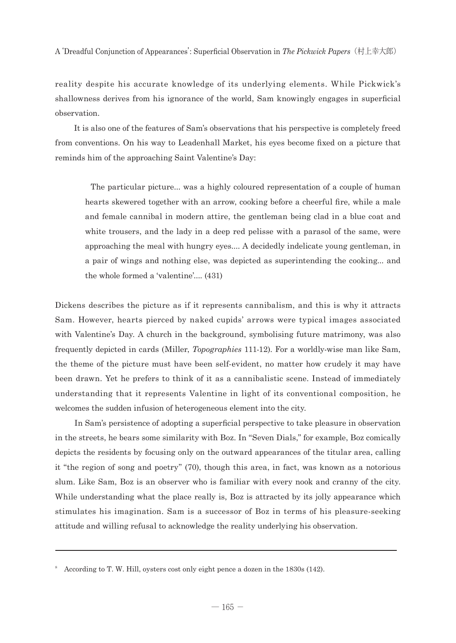reality despite his accurate knowledge of its underlying elements. While Pickwick's shallowness derives from his ignorance of the world, Sam knowingly engages in superficial observation.

 It is also one of the features of Sam's observations that his perspective is completely freed from conventions. On his way to Leadenhall Market, his eyes become fixed on a picture that reminds him of the approaching Saint Valentine's Day:

 The particular picture... was a highly coloured representation of a couple of human hearts skewered together with an arrow, cooking before a cheerful fire, while a male and female cannibal in modern attire, the gentleman being clad in a blue coat and white trousers, and the lady in a deep red pelisse with a parasol of the same, were approaching the meal with hungry eyes.... A decidedly indelicate young gentleman, in a pair of wings and nothing else, was depicted as superintending the cooking... and the whole formed a 'valentine'.... (431)

Dickens describes the picture as if it represents cannibalism, and this is why it attracts Sam. However, hearts pierced by naked cupids' arrows were typical images associated with Valentine's Day. A church in the background, symbolising future matrimony, was also frequently depicted in cards (Miller, *Topographies* 111-12). For a worldly-wise man like Sam, the theme of the picture must have been self-evident, no matter how crudely it may have been drawn. Yet he prefers to think of it as a cannibalistic scene. Instead of immediately understanding that it represents Valentine in light of its conventional composition, he welcomes the sudden infusion of heterogeneous element into the city.

 In Sam's persistence of adopting a superficial perspective to take pleasure in observation in the streets, he bears some similarity with Boz. In "Seven Dials," for example, Boz comically depicts the residents by focusing only on the outward appearances of the titular area, calling it "the region of song and poetry" (70), though this area, in fact, was known as a notorious slum. Like Sam, Boz is an observer who is familiar with every nook and cranny of the city. While understanding what the place really is, Boz is attracted by its jolly appearance which stimulates his imagination. Sam is a successor of Boz in terms of his pleasure-seeking attitude and willing refusal to acknowledge the reality underlying his observation.

<sup>&</sup>lt;sup>8</sup> According to T. W. Hill, oysters cost only eight pence a dozen in the 1830s (142).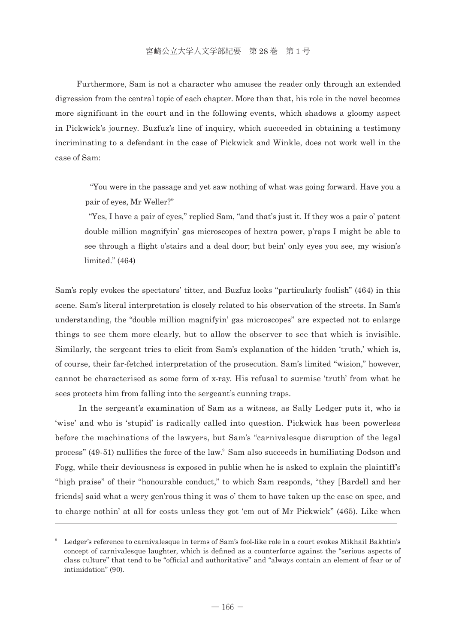Furthermore, Sam is not a character who amuses the reader only through an extended digression from the central topic of each chapter. More than that, his role in the novel becomes more significant in the court and in the following events, which shadows a gloomy aspect in Pickwick's journey. Buzfuz's line of inquiry, which succeeded in obtaining a testimony incriminating to a defendant in the case of Pickwick and Winkle, does not work well in the case of Sam:

 "You were in the passage and yet saw nothing of what was going forward. Have you a pair of eyes, Mr Weller?"

 "Yes, I have a pair of eyes," replied Sam, "and that's just it. If they wos a pair o' patent double million magnifyin' gas microscopes of hextra power, p'raps I might be able to see through a flight o'stairs and a deal door; but bein' only eyes you see, my wision's limited." (464)

Sam's reply evokes the spectators' titter, and Buzfuz looks "particularly foolish" (464) in this scene. Sam's literal interpretation is closely related to his observation of the streets. In Sam's understanding, the "double million magnifyin' gas microscopes" are expected not to enlarge things to see them more clearly, but to allow the observer to see that which is invisible. Similarly, the sergeant tries to elicit from Sam's explanation of the hidden 'truth,' which is, of course, their far-fetched interpretation of the prosecution. Sam's limited "wision," however, cannot be characterised as some form of x-ray. His refusal to surmise 'truth' from what he sees protects him from falling into the sergeant's cunning traps.

 In the sergeant's examination of Sam as a witness, as Sally Ledger puts it, who is 'wise' and who is 'stupid' is radically called into question. Pickwick has been powerless before the machinations of the lawyers, but Sam's "carnivalesque disruption of the legal process" (49-51) nullifies the force of the law.9 Sam also succeeds in humiliating Dodson and Fogg, while their deviousness is exposed in public when he is asked to explain the plaintiff's "high praise" of their "honourable conduct," to which Sam responds, "they [Bardell and her friends] said what a wery gen'rous thing it was o' them to have taken up the case on spec, and to charge nothin' at all for costs unless they got 'em out of Mr Pickwick" (465). Like when

<sup>9</sup> Ledger's reference to carnivalesque in terms of Sam's fool-like role in a court evokes Mikhail Bakhtin's concept of carnivalesque laughter, which is defined as a counterforce against the "serious aspects of class culture" that tend to be "official and authoritative" and "always contain an element of fear or of intimidation" (90).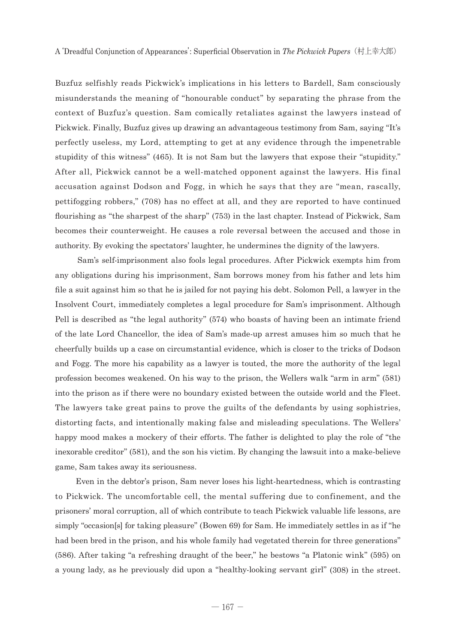Buzfuz selfishly reads Pickwick's implications in his letters to Bardell, Sam consciously misunderstands the meaning of "honourable conduct" by separating the phrase from the context of Buzfuz's question. Sam comically retaliates against the lawyers instead of Pickwick. Finally, Buzfuz gives up drawing an advantageous testimony from Sam, saying "It's perfectly useless, my Lord, attempting to get at any evidence through the impenetrable stupidity of this witness" (465). It is not Sam but the lawyers that expose their "stupidity." After all, Pickwick cannot be a well-matched opponent against the lawyers. His final accusation against Dodson and Fogg, in which he says that they are "mean, rascally, pettifogging robbers," (708) has no effect at all, and they are reported to have continued flourishing as "the sharpest of the sharp" (753) in the last chapter. Instead of Pickwick, Sam becomes their counterweight. He causes a role reversal between the accused and those in authority. By evoking the spectators' laughter, he undermines the dignity of the lawyers.

 Sam's self-imprisonment also fools legal procedures. After Pickwick exempts him from any obligations during his imprisonment, Sam borrows money from his father and lets him file a suit against him so that he is jailed for not paying his debt. Solomon Pell, a lawyer in the Insolvent Court, immediately completes a legal procedure for Sam's imprisonment. Although Pell is described as "the legal authority" (574) who boasts of having been an intimate friend of the late Lord Chancellor, the idea of Sam's made-up arrest amuses him so much that he cheerfully builds up a case on circumstantial evidence, which is closer to the tricks of Dodson and Fogg. The more his capability as a lawyer is touted, the more the authority of the legal profession becomes weakened. On his way to the prison, the Wellers walk "arm in arm" (581) into the prison as if there were no boundary existed between the outside world and the Fleet. The lawyers take great pains to prove the guilts of the defendants by using sophistries, distorting facts, and intentionally making false and misleading speculations. The Wellers' happy mood makes a mockery of their efforts. The father is delighted to play the role of "the inexorable creditor" (581), and the son his victim. By changing the lawsuit into a make-believe game, Sam takes away its seriousness.

 Even in the debtor's prison, Sam never loses his light-heartedness, which is contrasting to Pickwick. The uncomfortable cell, the mental suffering due to confinement, and the prisoners' moral corruption, all of which contribute to teach Pickwick valuable life lessons, are simply "occasion[s] for taking pleasure" (Bowen 69) for Sam. He immediately settles in as if "he had been bred in the prison, and his whole family had vegetated therein for three generations" (586). After taking "a refreshing draught of the beer," he bestows "a Platonic wink" (595) on a young lady, as he previously did upon a "healthy-looking servant girl" (308) in the street.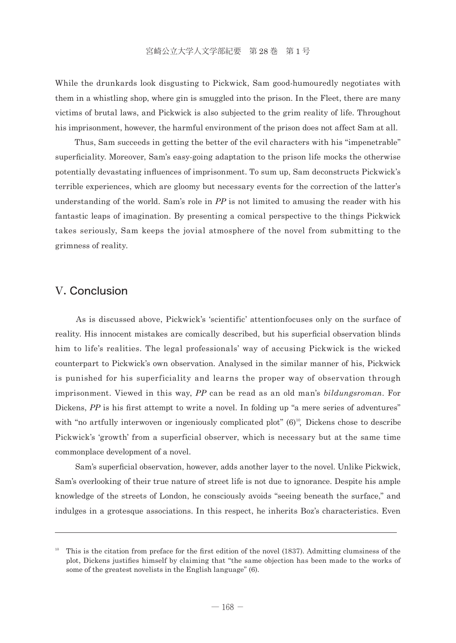While the drunkards look disgusting to Pickwick, Sam good-humouredly negotiates with them in a whistling shop, where gin is smuggled into the prison. In the Fleet, there are many victims of brutal laws, and Pickwick is also subjected to the grim reality of life. Throughout his imprisonment, however, the harmful environment of the prison does not affect Sam at all.

 Thus, Sam succeeds in getting the better of the evil characters with his "impenetrable" superficiality. Moreover, Sam's easy-going adaptation to the prison life mocks the otherwise potentially devastating influences of imprisonment. To sum up, Sam deconstructs Pickwick's terrible experiences, which are gloomy but necessary events for the correction of the latter's understanding of the world. Sam's role in *PP* is not limited to amusing the reader with his fantastic leaps of imagination. By presenting a comical perspective to the things Pickwick takes seriously, Sam keeps the jovial atmosphere of the novel from submitting to the grimness of reality.

#### V. Conclusion

 As is discussed above, Pickwick's 'scientific' attentionfocuses only on the surface of reality. His innocent mistakes are comically described, but his superficial observation blinds him to life's realities. The legal professionals' way of accusing Pickwick is the wicked counterpart to Pickwick's own observation. Analysed in the similar manner of his, Pickwick is punished for his superficiality and learns the proper way of observation through imprisonment. Viewed in this way, *PP* can be read as an old man's *bildungsroman*. For Dickens, *PP* is his first attempt to write a novel. In folding up "a mere series of adventures" with "no artfully interwoven or ingeniously complicated  $plot$ " ( $6$ )<sup>10</sup>, Dickens chose to describe Pickwick's 'growth' from a superficial observer, which is necessary but at the same time commonplace development of a novel.

 Sam's superficial observation, however, adds another layer to the novel. Unlike Pickwick, Sam's overlooking of their true nature of street life is not due to ignorance. Despite his ample knowledge of the streets of London, he consciously avoids "seeing beneath the surface," and indulges in a grotesque associations. In this respect, he inherits Boz's characteristics. Even

This is the citation from preface for the first edition of the novel (1837). Admitting clumsiness of the plot, Dickens justifies himself by claiming that "the same objection has been made to the works of some of the greatest novelists in the English language" (6).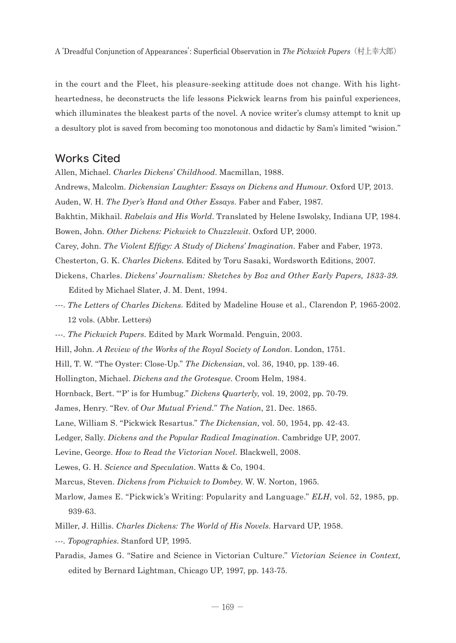in the court and the Fleet, his pleasure-seeking attitude does not change. With his lightheartedness, he deconstructs the life lessons Pickwick learns from his painful experiences, which illuminates the bleakest parts of the novel. A novice writer's clumsy attempt to knit up a desultory plot is saved from becoming too monotonous and didactic by Sam's limited "wision."

#### Works Cited

Allen, Michael. *Charles Dickens' Childhood*. Macmillan, 1988.

- Andrews, Malcolm. *Dickensian Laughter: Essays on Dickens and Humour*. Oxford UP, 2013.
- Auden, W. H. *The Dyer's Hand and Other Essays*. Faber and Faber, 1987.
- Bakhtin, Mikhail. *Rabelais and His World*. Translated by Helene Iswolsky, Indiana UP, 1984. Bowen, John. *Other Dickens: Pickwick to Chuzzlewit*. Oxford UP, 2000.

Carey, John. *The Violent Effigy: A Study of Dickens' Imagination.* Faber and Faber, 1973.

- Chesterton, G. K. *Charles Dickens*. Edited by Toru Sasaki, Wordsworth Editions, 2007.
- Dickens, Charles. *Dickens' Journalism: Sketches by Boz and Other Early Papers, 1833-39*. Edited by Michael Slater, J. M. Dent, 1994.
- ---. *The Letters of Charles Dickens*. Edited by Madeline House et al., Clarendon P, 1965-2002. 12 vols. (Abbr. Letters)
- ---. *The Pickwick Papers*. Edited by Mark Wormald. Penguin, 2003.
- Hill, John. *A Review of the Works of the Royal Society of London*. London, 1751.
- Hill, T. W. "The Oyster: Close-Up." *The Dickensian*, vol. 36, 1940, pp. 139-46.
- Hollington, Michael. *Dickens and the Grotesque*. Croom Helm, 1984.
- Hornback, Bert. "'P' is for Humbug." *Dickens Quarterly*, vol. 19, 2002, pp. 70-79.
- James, Henry. "Rev. of *Our Mutual Friend.*" *The Nation*, 21. Dec. 1865.
- Lane, William S. "Pickwick Resartus." *The Dickensian,* vol. 50, 1954, pp. 42-43.
- Ledger, Sally. *Dickens and the Popular Radical Imagination*. Cambridge UP, 2007.
- Levine, George. *How to Read the Victorian Novel.* Blackwell, 2008.
- Lewes, G. H. *Science and Speculation*. Watts & Co, 1904.
- Marcus, Steven. *Dickens from Pickwick to Dombey*. W. W. Norton, 1965.
- Marlow, James E. "Pickwick's Writing: Popularity and Language." *ELH*, vol. 52, 1985, pp. 939-63.
- Miller, J. Hillis. *Charles Dickens: The World of His Novels*. Harvard UP, 1958.
- ---. *Topographies*. Stanford UP, 1995.
- Paradis, James G. "Satire and Science in Victorian Culture." *Victorian Science in Context,*  edited by Bernard Lightman, Chicago UP, 1997, pp. 143-75.